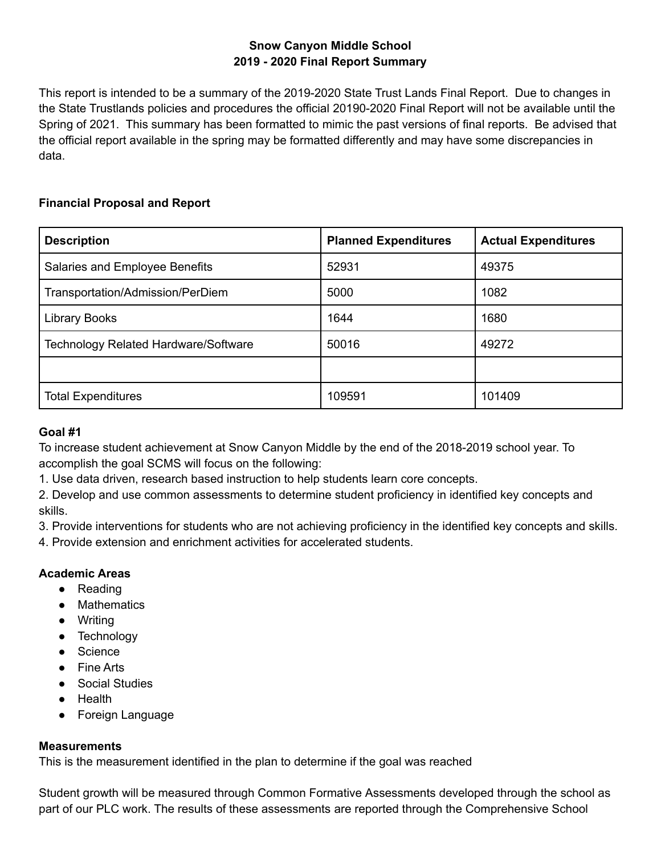# **Snow Canyon Middle School 2019 - 2020 Final Report Summary**

This report is intended to be a summary of the 2019-2020 State Trust Lands Final Report. Due to changes in the State Trustlands policies and procedures the official 20190-2020 Final Report will not be available until the Spring of 2021. This summary has been formatted to mimic the past versions of final reports. Be advised that the official report available in the spring may be formatted differently and may have some discrepancies in data.

# **Financial Proposal and Report**

| <b>Description</b>                          | <b>Planned Expenditures</b> | <b>Actual Expenditures</b> |  |
|---------------------------------------------|-----------------------------|----------------------------|--|
| Salaries and Employee Benefits              | 52931                       | 49375                      |  |
| Transportation/Admission/PerDiem            | 5000                        | 1082                       |  |
| Library Books                               | 1644                        | 1680                       |  |
| <b>Technology Related Hardware/Software</b> | 50016<br>49272              |                            |  |
|                                             |                             |                            |  |
| <b>Total Expenditures</b>                   | 109591                      | 101409                     |  |

## **Goal #1**

To increase student achievement at Snow Canyon Middle by the end of the 2018-2019 school year. To accomplish the goal SCMS will focus on the following:

1. Use data driven, research based instruction to help students learn core concepts.

2. Develop and use common assessments to determine student proficiency in identified key concepts and skills.

3. Provide interventions for students who are not achieving proficiency in the identified key concepts and skills.

4. Provide extension and enrichment activities for accelerated students.

## **Academic Areas**

- Reading
- Mathematics
- Writing
- Technology
- Science
- Fine Arts
- Social Studies
- Health
- Foreign Language

#### **Measurements**

This is the measurement identified in the plan to determine if the goal was reached

Student growth will be measured through Common Formative Assessments developed through the school as part of our PLC work. The results of these assessments are reported through the Comprehensive School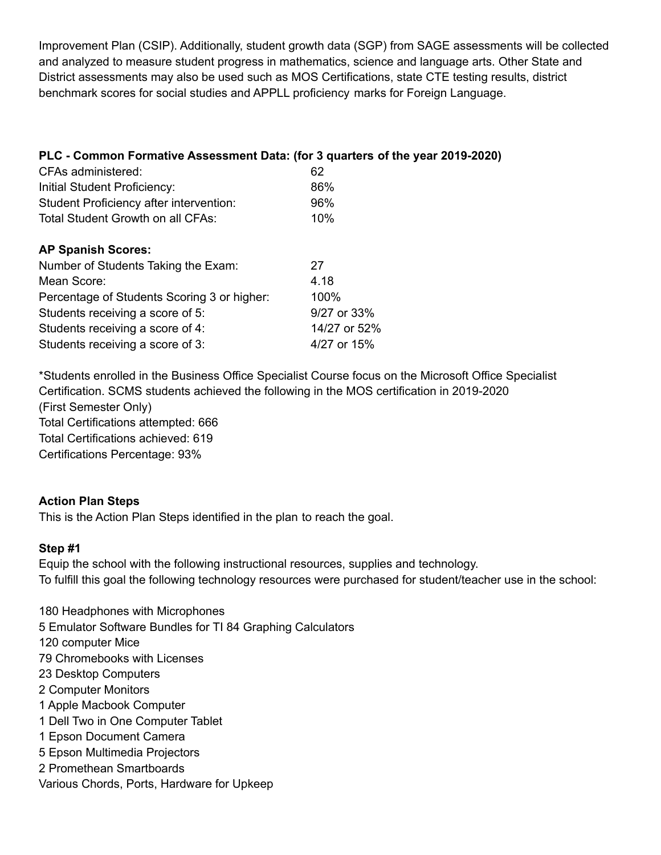Improvement Plan (CSIP). Additionally, student growth data (SGP) from SAGE assessments will be collected and analyzed to measure student progress in mathematics, science and language arts. Other State and District assessments may also be used such as MOS Certifications, state CTE testing results, district benchmark scores for social studies and APPLL proficiency marks for Foreign Language.

| PLC - Common Formative Assessment Data: (for 3 quarters of the year 2019-2020) |              |
|--------------------------------------------------------------------------------|--------------|
| CFAs administered:                                                             | 62           |
| Initial Student Proficiency:                                                   | 86%          |
| Student Proficiency after intervention:                                        | 96%          |
| Total Student Growth on all CFAs:                                              | 10%          |
| <b>AP Spanish Scores:</b>                                                      |              |
| Number of Students Taking the Exam:                                            | 27           |
| Mean Score:                                                                    | 4.18         |
| Percentage of Students Scoring 3 or higher:                                    | 100%         |
| Students receiving a score of 5:                                               | 9/27 or 33%  |
| Students receiving a score of 4:                                               | 14/27 or 52% |
| Students receiving a score of 3:                                               | 4/27 or 15%  |

\*Students enrolled in the Business Office Specialist Course focus on the Microsoft Office Specialist Certification. SCMS students achieved the following in the MOS certification in 2019-2020 (First Semester Only) Total Certifications attempted: 666 Total Certifications achieved: 619 Certifications Percentage: 93%

## **Action Plan Steps**

This is the Action Plan Steps identified in the plan to reach the goal.

## **Step #1**

Equip the school with the following instructional resources, supplies and technology. To fulfill this goal the following technology resources were purchased for student/teacher use in the school:

 Headphones with Microphones Emulator Software Bundles for TI 84 Graphing Calculators computer Mice Chromebooks with Licenses Desktop Computers Computer Monitors Apple Macbook Computer Dell Two in One Computer Tablet Epson Document Camera Epson Multimedia Projectors Promethean Smartboards Various Chords, Ports, Hardware for Upkeep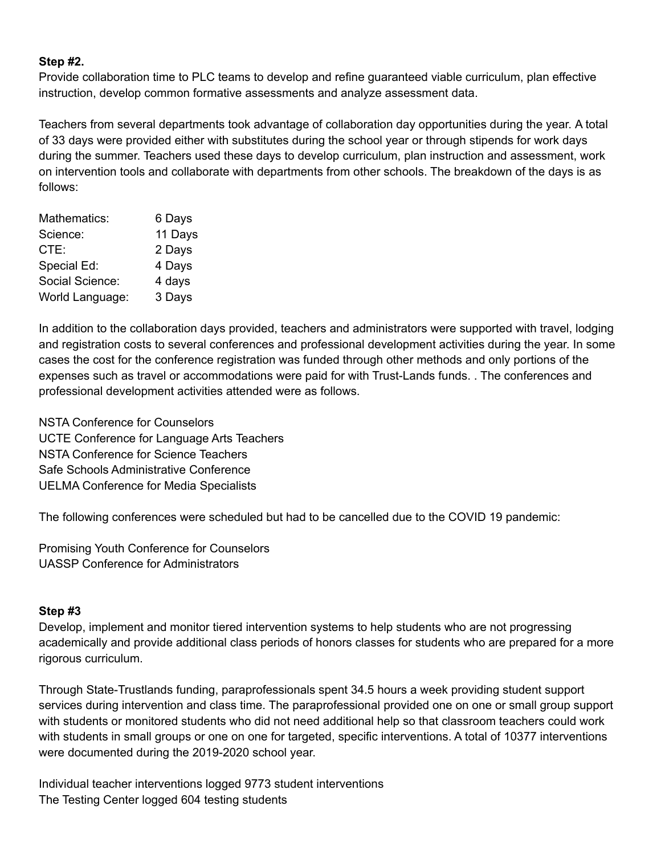#### **Step #2.**

Provide collaboration time to PLC teams to develop and refine guaranteed viable curriculum, plan effective instruction, develop common formative assessments and analyze assessment data.

Teachers from several departments took advantage of collaboration day opportunities during the year. A total of 33 days were provided either with substitutes during the school year or through stipends for work days during the summer. Teachers used these days to develop curriculum, plan instruction and assessment, work on intervention tools and collaborate with departments from other schools. The breakdown of the days is as follows:

| Mathematics:    | 6 Days  |
|-----------------|---------|
| Science:        | 11 Days |
| CTE:            | 2 Days  |
| Special Ed:     | 4 Days  |
| Social Science: | 4 days  |
| World Language: | 3 Days  |

In addition to the collaboration days provided, teachers and administrators were supported with travel, lodging and registration costs to several conferences and professional development activities during the year. In some cases the cost for the conference registration was funded through other methods and only portions of the expenses such as travel or accommodations were paid for with Trust-Lands funds. . The conferences and professional development activities attended were as follows.

NSTA Conference for Counselors UCTE Conference for Language Arts Teachers NSTA Conference for Science Teachers Safe Schools Administrative Conference UELMA Conference for Media Specialists

The following conferences were scheduled but had to be cancelled due to the COVID 19 pandemic:

Promising Youth Conference for Counselors UASSP Conference for Administrators

#### **Step #3**

Develop, implement and monitor tiered intervention systems to help students who are not progressing academically and provide additional class periods of honors classes for students who are prepared for a more rigorous curriculum.

Through State-Trustlands funding, paraprofessionals spent 34.5 hours a week providing student support services during intervention and class time. The paraprofessional provided one on one or small group support with students or monitored students who did not need additional help so that classroom teachers could work with students in small groups or one on one for targeted, specific interventions. A total of 10377 interventions were documented during the 2019-2020 school year.

Individual teacher interventions logged 9773 student interventions The Testing Center logged 604 testing students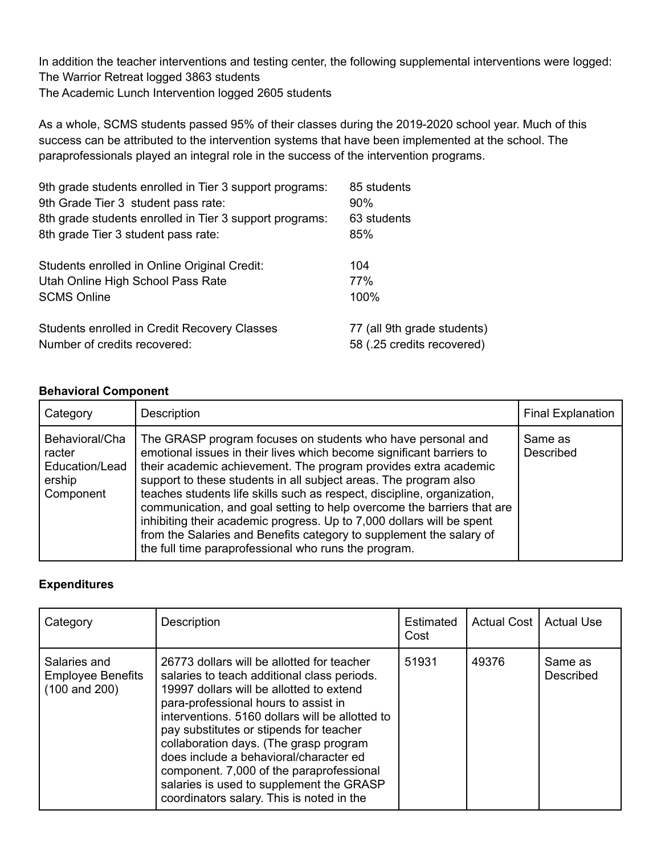In addition the teacher interventions and testing center, the following supplemental interventions were logged: The Warrior Retreat logged 3863 students The Academic Lunch Intervention logged 2605 students

As a whole, SCMS students passed 95% of their classes during the 2019-2020 school year. Much of this success can be attributed to the intervention systems that have been implemented at the school. The paraprofessionals played an integral role in the success of the intervention programs.

| 9th grade students enrolled in Tier 3 support programs:<br>9th Grade Tier 3 student pass rate: | 85 students<br>$90\%$       |
|------------------------------------------------------------------------------------------------|-----------------------------|
| 8th grade students enrolled in Tier 3 support programs:                                        | 63 students                 |
| 8th grade Tier 3 student pass rate:                                                            | 85%                         |
| Students enrolled in Online Original Credit:                                                   | 104                         |
| Utah Online High School Pass Rate                                                              | 77%                         |
| <b>SCMS Online</b>                                                                             | 100%                        |
| Students enrolled in Credit Recovery Classes                                                   | 77 (all 9th grade students) |
| Number of credits recovered:                                                                   | 58 (.25 credits recovered)  |

#### **Behavioral Component**

| Category                                                          | Description                                                                                                                                                                                                                                                                                                                                                                                                                                                                                                                                                                                                                             | <b>Final Explanation</b> |
|-------------------------------------------------------------------|-----------------------------------------------------------------------------------------------------------------------------------------------------------------------------------------------------------------------------------------------------------------------------------------------------------------------------------------------------------------------------------------------------------------------------------------------------------------------------------------------------------------------------------------------------------------------------------------------------------------------------------------|--------------------------|
| Behavioral/Cha<br>racter<br>Education/Lead<br>ership<br>Component | The GRASP program focuses on students who have personal and<br>emotional issues in their lives which become significant barriers to<br>their academic achievement. The program provides extra academic<br>support to these students in all subject areas. The program also<br>teaches students life skills such as respect, discipline, organization,<br>communication, and goal setting to help overcome the barriers that are<br>inhibiting their academic progress. Up to 7,000 dollars will be spent<br>from the Salaries and Benefits category to supplement the salary of<br>the full time paraprofessional who runs the program. | Same as<br>Described     |

## **Expenditures**

| Category                                                             | Description                                                                                                                                                                                                                                                                                                                                                                                                                                                                                          | Estimated<br>Cost | Actual Cost I | <b>Actual Use</b>    |
|----------------------------------------------------------------------|------------------------------------------------------------------------------------------------------------------------------------------------------------------------------------------------------------------------------------------------------------------------------------------------------------------------------------------------------------------------------------------------------------------------------------------------------------------------------------------------------|-------------------|---------------|----------------------|
| Salaries and<br><b>Employee Benefits</b><br>$(100 \text{ and } 200)$ | 26773 dollars will be allotted for teacher<br>salaries to teach additional class periods.<br>19997 dollars will be allotted to extend<br>para-professional hours to assist in<br>interventions. 5160 dollars will be allotted to<br>pay substitutes or stipends for teacher<br>collaboration days. (The grasp program<br>does include a behavioral/character ed<br>component. 7,000 of the paraprofessional<br>salaries is used to supplement the GRASP<br>coordinators salary. This is noted in the | 51931             | 49376         | Same as<br>Described |